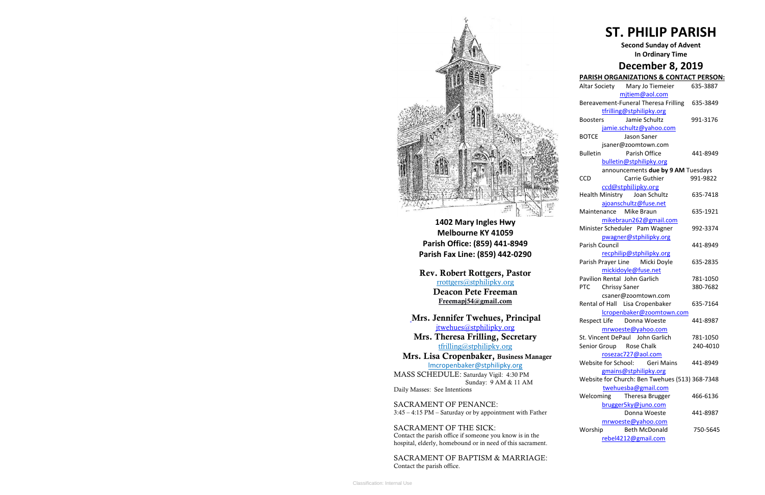

**1402 Mary Ingles Hwy Melbourne KY 41059 Parish Office: (859) 441-8949 Parish Fax Line: (859) 442-0290**

**Mrs. Theresa Frilling, Secretary**  [tfrilling@stphilipky.org](mailto:tfrilling@stphilipky.org)

**Rev. Robert Rottgers, Pastor**  [rrottgers@stphilipky.org](mailto:rrottgers@stphilipky.org) **Deacon Pete Freeman Freemapj54@gmail.com**

**Mrs. Jennifer Twehues, Principal** [jtwehues@stphilipky.org](mailto:jtwehues@stphilipky.org)

 **Mrs. Lisa Cropenbaker, Business Manager**  lmcropenbaker@stphilipky.org

MASS SCHEDULE: Saturday Vigil: 4:30 PM Sunday: 9 AM & 11 AM Daily Masses: See Intentions

SACRAMENT OF PENANCE: 3:45 – 4:15 PM – Saturday or by appointment with Father

SACRAMENT OF THE SICK: Contact the parish office if someone you know is in the hospital, elderly, homebound or in need of this sacrament.

SACRAMENT OF BAPTISM & MARRIAGE: Contact the parish office.

# **ST. PHILIP PARISH**

### **Second Sunday of Advent In Ordinary Time**

# **December 8, 2019**

# **PARISH ORGANIZATIONS & CONTACT PERSON:**

|                         | Altar Society Mary Jo Tiemeier                 | 635-3887 |
|-------------------------|------------------------------------------------|----------|
|                         | mjtiem@aol.com                                 |          |
|                         | Bereavement-Funeral Theresa Frilling           | 635-3849 |
|                         | tfrilling@stphilipky.org                       |          |
|                         | Boosters Jamie Schultz                         | 991-3176 |
|                         | jamie.schultz@yahoo.com                        |          |
| <b>BOTCE</b>            | Jason Saner                                    |          |
|                         | jsaner@zoomtown.com                            |          |
| <b>Bulletin</b>         | Parish Office                                  | 441-8949 |
|                         | bulletin@stphilipky.org                        |          |
|                         | announcements due by 9 AM Tuesdays             |          |
| <b>CCD</b>              | <b>Carrie Guthier</b>                          | 991-9822 |
|                         | ccd@stphilipky.org                             |          |
|                         | Health Ministry Joan Schultz                   | 635-7418 |
|                         | ajoanschultz@fuse.net                          |          |
| Maintenance             | Mike Braun                                     | 635-1921 |
|                         | mikebraun262@gmail.com                         |          |
|                         | Minister Scheduler Pam Wagner                  | 992-3374 |
|                         | pwagner@stphilipky.org                         |          |
| <b>Parish Council</b>   |                                                | 441-8949 |
|                         | recphilip@stphilipky.org                       |          |
|                         | Parish Prayer Line Micki Doyle                 | 635-2835 |
|                         | mickidoyle@fuse.net                            |          |
|                         | <b>Pavilion Rental John Garlich</b>            | 781-1050 |
| PTC Chrissy Saner       |                                                | 380-7682 |
|                         | csaner@zoomtown.com                            |          |
|                         | Rental of Hall Lisa Cropenbaker                | 635-7164 |
|                         | lcropenbaker@zoomtown.com                      |          |
|                         | Respect Life Donna Woeste                      | 441-8987 |
|                         | mrwoeste@yahoo.com                             |          |
|                         | St. Vincent DePaul John Garlich                | 781-1050 |
| Senior Group Rose Chalk |                                                | 240-4010 |
|                         | rosezac727@aol.com                             |          |
| Website for School:     | <b>Geri Mains</b>                              | 441-8949 |
|                         | gmains@stphilipky.org                          |          |
|                         | Website for Church: Ben Twehues (513) 368-7348 |          |
|                         | twehuesba@gmail.com                            |          |
| Welcoming               | Theresa Brugger                                | 466-6136 |
|                         | brugger5ky@juno.com                            |          |
|                         | Donna Woeste                                   | 441-8987 |
|                         | mrwoeste@yahoo.com                             |          |
| Worship                 | <b>Beth McDonald</b>                           | 750-5645 |
|                         | rebel4212@gmail.com                            |          |
|                         |                                                |          |